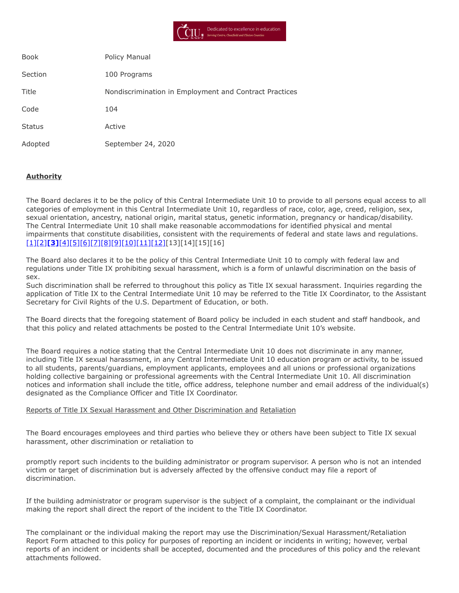

| <b>Book</b>   | Policy Manual                                          |
|---------------|--------------------------------------------------------|
| Section       | 100 Programs                                           |
| Title         | Nondiscrimination in Employment and Contract Practices |
| Code          | 104                                                    |
| <b>Status</b> | Active                                                 |
| Adopted       | September 24, 2020                                     |

## **Authority**

The Board declares it to be the policy of this Central Intermediate Unit 10 to provide to all persons equal access to all categories of employment in this Central Intermediate Unit 10, regardless of race, color, age, creed, religion, sex, sexual orientation, ancestry, national origin, marital status, genetic information, pregnancy or handicap/disability. The Central Intermediate Unit 10 shall make reasonable accommodations for identified physical and mental impairments that constitute disabilities, consistent with the requirements of federal and state laws and regulations. [\[1\]](http://www.legis.state.pa.us/cfdocs/legis/LI/uconsCheck.cfm?txtType=HTM&yr=1959&sessInd=0&smthLwInd=0&act=694&chpt=0&sctn=3&subsctn=0)[\[2\]](http://www.legis.state.pa.us/cfdocs/Legis/LI/uconsCheck.cfm?txtType=HTM&yr=1955&sessInd=0&smthLwInd=0&act=0222)**[\[3\]](http://www.law.cornell.edu/cfr/text/34/part-106)**[\[4\]](http://www.law.cornell.edu/uscode/text/20/chapter-38)[\[5\]](http://www.law.cornell.edu/uscode/text/29/206)[\[6\]](http://www.law.cornell.edu/uscode/text/29/chapter-14)[\[7\]](http://www.law.cornell.edu/uscode/text/29/794)[\[8\]](http://www.law.cornell.edu/uscode/text/42/chapter-21/subchapter-I)[\[9\]](http://www.law.cornell.edu/uscode/text/42/chapter-21/subchapter-VI)[\[10\]](http://www.law.cornell.edu/uscode/text/42/chapter-21F)[\[11\]](http://www.law.cornell.edu/uscode/text/42/chapter-126)[\[12\]](https://www.law.cornell.edu/constitution/amendmentxiv)[13][14][15][16]

The Board also declares it to be the policy of this Central Intermediate Unit 10 to comply with federal law and regulations under Title IX prohibiting sexual harassment, which is a form of unlawful discrimination on the basis of sex.

Such discrimination shall be referred to throughout this policy as Title IX sexual harassment. Inquiries regarding the application of Title IX to the Central Intermediate Unit 10 may be referred to the Title IX Coordinator, to the Assistant Secretary for Civil Rights of the U.S. Department of Education, or both.

The Board directs that the foregoing statement of Board policy be included in each student and staff handbook, and that this policy and related attachments be posted to the Central Intermediate Unit 10's website.

The Board requires a notice stating that the Central Intermediate Unit 10 does not discriminate in any manner, including Title IX sexual harassment, in any Central Intermediate Unit 10 education program or activity, to be issued to all students, parents/guardians, employment applicants, employees and all unions or professional organizations holding collective bargaining or professional agreements with the Central Intermediate Unit 10. All discrimination notices and information shall include the title, office address, telephone number and email address of the individual(s) designated as the Compliance Officer and Title IX Coordinator.

#### Reports of Title IX Sexual Harassment and Other Discrimination and Retaliation

The Board encourages employees and third parties who believe they or others have been subject to Title IX sexual harassment, other discrimination or retaliation to

promptly report such incidents to the building administrator or program supervisor. A person who is not an intended victim or target of discrimination but is adversely affected by the offensive conduct may file a report of discrimination.

If the building administrator or program supervisor is the subject of a complaint, the complainant or the individual making the report shall direct the report of the incident to the Title IX Coordinator.

The complainant or the individual making the report may use the Discrimination/Sexual Harassment/Retaliation Report Form attached to this policy for purposes of reporting an incident or incidents in writing; however, verbal reports of an incident or incidents shall be accepted, documented and the procedures of this policy and the relevant attachments followed.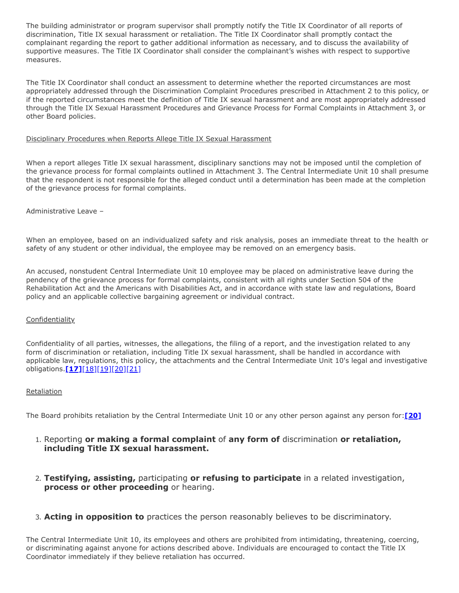The building administrator or program supervisor shall promptly notify the Title IX Coordinator of all reports of discrimination, Title IX sexual harassment or retaliation. The Title IX Coordinator shall promptly contact the complainant regarding the report to gather additional information as necessary, and to discuss the availability of supportive measures. The Title IX Coordinator shall consider the complainant's wishes with respect to supportive measures.

The Title IX Coordinator shall conduct an assessment to determine whether the reported circumstances are most appropriately addressed through the Discrimination Complaint Procedures prescribed in Attachment 2 to this policy, or if the reported circumstances meet the definition of Title IX sexual harassment and are most appropriately addressed through the Title IX Sexual Harassment Procedures and Grievance Process for Formal Complaints in Attachment 3, or other Board policies.

### Disciplinary Procedures when Reports Allege Title IX Sexual Harassment

When a report alleges Title IX sexual harassment, disciplinary sanctions may not be imposed until the completion of the grievance process for formal complaints outlined in Attachment 3. The Central Intermediate Unit 10 shall presume that the respondent is not responsible for the alleged conduct until a determination has been made at the completion of the grievance process for formal complaints.

Administrative Leave –

When an employee, based on an individualized safety and risk analysis, poses an immediate threat to the health or safety of any student or other individual, the employee may be removed on an emergency basis.

An accused, nonstudent Central Intermediate Unit 10 employee may be placed on administrative leave during the pendency of the grievance process for formal complaints, consistent with all rights under Section 504 of the Rehabilitation Act and the Americans with Disabilities Act, and in accordance with state law and regulations, Board policy and an applicable collective bargaining agreement or individual contract.

### **Confidentiality**

Confidentiality of all parties, witnesses, the allegations, the filing of a report, and the investigation related to any form of discrimination or retaliation, including Title IX sexual harassment, shall be handled in accordance with applicable law, regulations, this policy, the attachments and the Central Intermediate Unit 10's legal and investigative obligations.**[\[17\]](http://www.law.cornell.edu/uscode/text/20/1232g)**[\[18\]\[19\]\[20\]](https://www.govinfo.gov/content/pkg/FR-2020-05-19/pdf/2020-10512.pdf)[\[21\]](http://www.law.cornell.edu/cfr/text/34/part-99)

### **Retaliation**

The Board prohibits retaliation by the Central Intermediate Unit 10 or any other person against any person for:**[\[20\]](https://www.govinfo.gov/content/pkg/FR-2020-05-19/pdf/2020-10512.pdf)**

- 1. Reporting **or making a formal complaint** of **any form of** discrimination **or retaliation, including Title IX sexual harassment.**
- 2. **Testifying, assisting,** participating **or refusing to participate** in a related investigation, **process or other proceeding** or hearing.
- 3. **Acting in opposition to** practices the person reasonably believes to be discriminatory.

The Central Intermediate Unit 10, its employees and others are prohibited from intimidating, threatening, coercing, or discriminating against anyone for actions described above. Individuals are encouraged to contact the Title IX Coordinator immediately if they believe retaliation has occurred.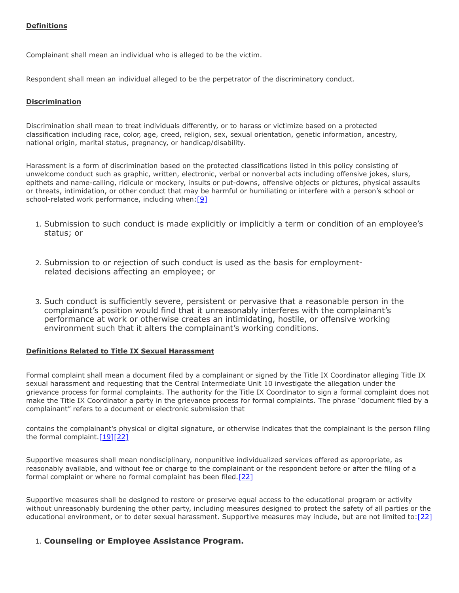## **Definitions**

Complainant shall mean an individual who is alleged to be the victim.

Respondent shall mean an individual alleged to be the perpetrator of the discriminatory conduct.

### **Discrimination**

Discrimination shall mean to treat individuals differently, or to harass or victimize based on a protected classification including race, color, age, creed, religion, sex, sexual orientation, genetic information, ancestry, national origin, marital status, pregnancy, or handicap/disability.

Harassment is a form of discrimination based on the protected classifications listed in this policy consisting of unwelcome conduct such as graphic, written, electronic, verbal or nonverbal acts including offensive jokes, slurs, epithets and name-calling, ridicule or mockery, insults or put-downs, offensive objects or pictures, physical assaults or threats, intimidation, or other conduct that may be harmful or humiliating or interfere with a person's school or school-related work performance, including when:  $[9]$ 

- 1. Submission to such conduct is made explicitly or implicitly a term or condition of an employee's status; or
- 2. Submission to or rejection of such conduct is used as the basis for employmentrelated decisions affecting an employee; or
- 3. Such conduct is sufficiently severe, persistent or pervasive that a reasonable person in the complainant's position would find that it unreasonably interferes with the complainant's performance at work or otherwise creates an intimidating, hostile, or offensive working environment such that it alters the complainant's working conditions.

### **Definitions Related to Title IX Sexual Harassment**

Formal complaint shall mean a document filed by a complainant or signed by the Title IX Coordinator alleging Title IX sexual harassment and requesting that the Central Intermediate Unit 10 investigate the allegation under the grievance process for formal complaints. The authority for the Title IX Coordinator to sign a formal complaint does not make the Title IX Coordinator a party in the grievance process for formal complaints. The phrase "document filed by a complainant" refers to a document or electronic submission that

contains the complainant's physical or digital signature, or otherwise indicates that the complainant is the person filing the formal complaint[.\[19\]\[22\]](https://www.govinfo.gov/content/pkg/FR-2020-05-19/pdf/2020-10512.pdf)

Supportive measures shall mean nondisciplinary, nonpunitive individualized services offered as appropriate, as reasonably available, and without fee or charge to the complainant or the respondent before or after the filing of a formal complaint or where no formal complaint has been filed.<sup>[\[22\]](https://www.govinfo.gov/content/pkg/FR-2020-05-19/pdf/2020-10512.pdf)</sup>

Supportive measures shall be designed to restore or preserve equal access to the educational program or activity without unreasonably burdening the other party, including measures designed to protect the safety of all parties or the educational environment, or to deter sexual harassment. Supportive measures may include, but are not limited to: [22]

## 1. **Counseling or Employee Assistance Program.**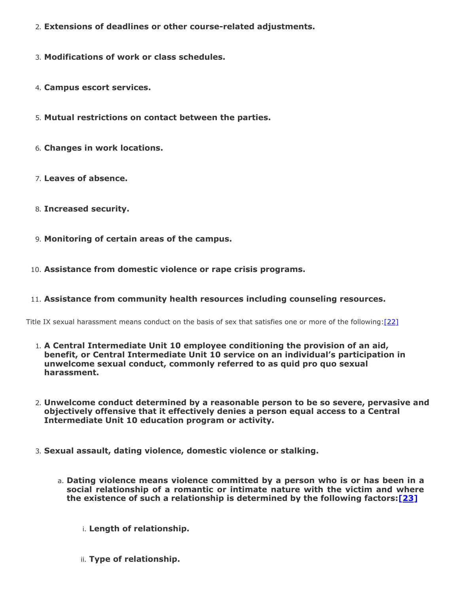- 2. **Extensions of deadlines or other course-related adjustments.**
- 3. **Modifications of work or class schedules.**
- 4. **Campus escort services.**
- 5. **Mutual restrictions on contact between the parties.**
- 6. **Changes in work locations.**
- 7. **Leaves of absence.**
- 8. **Increased security.**
- 9. **Monitoring of certain areas of the campus.**
- 10. **Assistance from domestic violence or rape crisis programs.**

## 11. **Assistance from community health resources including counseling resources.**

Title IX sexual harassment means conduct on the basis of sex that satisfies one or more of the following: [\[22\]](https://www.govinfo.gov/content/pkg/FR-2020-05-19/pdf/2020-10512.pdf)

- 1. **A Central Intermediate Unit 10 employee conditioning the provision of an aid, benefit, or Central Intermediate Unit 10 service on an individual's participation in unwelcome sexual conduct, commonly referred to as quid pro quo sexual harassment.**
- 2. **Unwelcome conduct determined by a reasonable person to be so severe, pervasive and objectively offensive that it effectively denies a person equal access to a Central Intermediate Unit 10 education program or activity.**
- 3. **Sexual assault, dating violence, domestic violence or stalking.**
	- a. **Dating violence means violence committed by a person who is or has been in a social relationship of a romantic or intimate nature with the victim and where the existence of such a relationship is determined by the following factors:[\[23\]](https://www.law.cornell.edu/uscode/text/34/12291)**
		- i. **Length of relationship.**
		- ii. **Type of relationship.**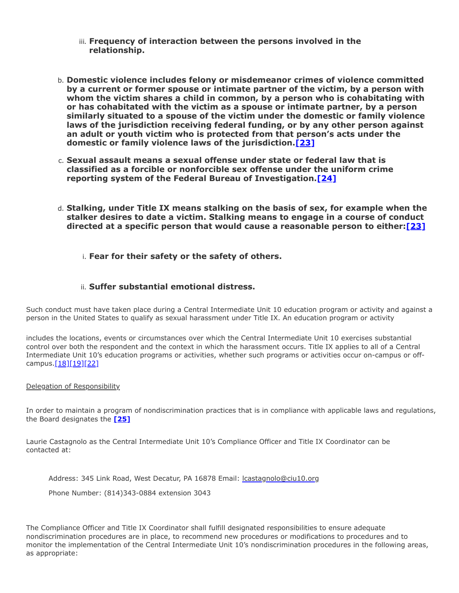- iii. **Frequency of interaction between the persons involved in the relationship.**
- b. **Domestic violence includes felony or misdemeanor crimes of violence committed by a current or former spouse or intimate partner of the victim, by a person with whom the victim shares a child in common, by a person who is cohabitating with or has cohabitated with the victim as a spouse or intimate partner, by a person similarly situated to a spouse of the victim under the domestic or family violence laws of the jurisdiction receiving federal funding, or by any other person against an adult or youth victim who is protected from that person's acts under the domestic or family violence laws of the jurisdiction.[\[23\]](https://www.law.cornell.edu/uscode/text/34/12291)**
- c. **Sexual assault means a sexual offense under state or federal law that is classified as a forcible or nonforcible sex offense under the uniform crime reporting system of the Federal Bureau of Investigation.[\[24\]](https://www.law.cornell.edu/uscode/text/20/1092)**
- d. **Stalking, under Title IX means stalking on the basis of sex, for example when the stalker desires to date a victim. Stalking means to engage in a course of conduct directed at a specific person that would cause a reasonable person to either:[\[23\]](https://www.law.cornell.edu/uscode/text/34/12291)**

i. **Fear for their safety or the safety of others.**

## ii. **Suffer substantial emotional distress.**

Such conduct must have taken place during a Central Intermediate Unit 10 education program or activity and against a person in the United States to qualify as sexual harassment under Title IX. An education program or activity

includes the locations, events or circumstances over which the Central Intermediate Unit 10 exercises substantial control over both the respondent and the context in which the harassment occurs. Title IX applies to all of a Central Intermediate Unit 10's education programs or activities, whether such programs or activities occur on-campus or off-campus[.\[18\]\[19\]\[22\]](https://www.govinfo.gov/content/pkg/FR-2020-05-19/pdf/2020-10512.pdf)

### Delegation of Responsibility

In order to maintain a program of nondiscrimination practices that is in compliance with applicable laws and regulations, the Board designates the **[\[25\]](https://www.govinfo.gov/content/pkg/FR-2020-05-19/pdf/2020-10512.pdf)**

Laurie Castagnolo as the Central Intermediate Unit 10's Compliance Officer and Title IX Coordinator can be contacted at:

Address: 345 Link Road, West Decatur, PA 16878 Email: *Leastagnolo@ciu10.org* 

Phone Number: (814)343-0884 extension 3043

The Compliance Officer and Title IX Coordinator shall fulfill designated responsibilities to ensure adequate nondiscrimination procedures are in place, to recommend new procedures or modifications to procedures and to monitor the implementation of the Central Intermediate Unit 10's nondiscrimination procedures in the following areas, as appropriate: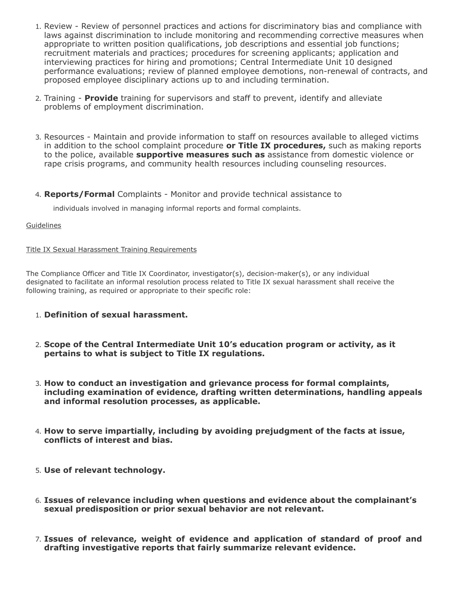- 1. Review Review of personnel practices and actions for discriminatory bias and compliance with laws against discrimination to include monitoring and recommending corrective measures when appropriate to written position qualifications, job descriptions and essential job functions; recruitment materials and practices; procedures for screening applicants; application and interviewing practices for hiring and promotions; Central Intermediate Unit 10 designed performance evaluations; review of planned employee demotions, non-renewal of contracts, and proposed employee disciplinary actions up to and including termination.
- 2. Training **Provide** training for supervisors and staff to prevent, identify and alleviate problems of employment discrimination.
- 3. Resources Maintain and provide information to staff on resources available to alleged victims in addition to the school complaint procedure **or Title IX procedures,** such as making reports to the police, available **supportive measures such as** assistance from domestic violence or rape crisis programs, and community health resources including counseling resources.
- 4. **Reports/Formal** Complaints Monitor and provide technical assistance to

individuals involved in managing informal reports and formal complaints.

## **Guidelines**

## Title IX Sexual Harassment Training Requirements

The Compliance Officer and Title IX Coordinator, investigator(s), decision-maker(s), or any individual designated to facilitate an informal resolution process related to Title IX sexual harassment shall receive the following training, as required or appropriate to their specific role:

- 1. **Definition of sexual harassment.**
- 2. **Scope of the Central Intermediate Unit 10's education program or activity, as it pertains to what is subject to Title IX regulations.**
- 3. **How to conduct an investigation and grievance process for formal complaints, including examination of evidence, drafting written determinations, handling appeals and informal resolution processes, as applicable.**
- 4. **How to serve impartially, including by avoiding prejudgment of the facts at issue, conflicts of interest and bias.**
- 5. **Use of relevant technology.**
- 6. **Issues of relevance including when questions and evidence about the complainant's sexual predisposition or prior sexual behavior are not relevant.**
- 7. **Issues of relevance, weight of evidence and application of standard of proof and drafting investigative reports that fairly summarize relevant evidence.**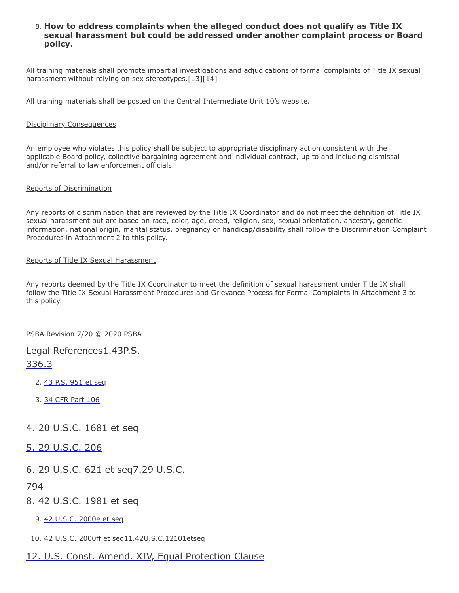## 8. **How to address complaints when the alleged conduct does not qualify as Title IX sexual harassment but could be addressed under another complaint process or Board policy.**

All training materials shall promote impartial investigations and adjudications of formal complaints of Title IX sexual harassment without relying on sex stereotypes.[13][14]

All training materials shall be posted on the Central Intermediate Unit 10's website.

#### Disciplinary Consequences

An employee who violates this policy shall be subject to appropriate disciplinary action consistent with the applicable Board policy, collective bargaining agreement and individual contract, up to and including dismissal and/or referral to law enforcement officials.

#### Reports of Discrimination

Any reports of discrimination that are reviewed by the Title IX Coordinator and do not meet the definition of Title IX sexual harassment but are based on race, color, age, creed, religion, sex, sexual orientation, ancestry, genetic information, national origin, marital status, pregnancy or handicap/disability shall follow the Discrimination Complaint Procedures in Attachment 2 to this policy.

#### Reports of Title IX Sexual Harassment

Any reports deemed by the Title IX Coordinator to meet the definition of sexual harassment under Title IX shall follow the Title IX Sexual Harassment Procedures and Grievance Process for Formal Complaints in Attachment 3 to this policy.

PSBA Revision 7/20 © 2020 PSBA

# [Legal References1.43P.S.](http://www.legis.state.pa.us/cfdocs/legis/LI/uconsCheck.cfm?txtType=HTM&yr=1959&sessInd=0&smthLwInd=0&act=694&chpt=0&sctn=3&subsctn=0) 336.3

- 2. [43 P.S. 951 et seq](http://www.legis.state.pa.us/cfdocs/Legis/LI/uconsCheck.cfm?txtType=HTM&yr=1955&sessInd=0&smthLwInd=0&act=0222)
- 3. [34 CFR Part 106](http://www.law.cornell.edu/cfr/text/34/part-106)

# [4. 20 U.S.C. 1681 et seq](http://www.law.cornell.edu/uscode/text/20/chapter-38)

[5. 29 U.S.C. 206](http://www.law.cornell.edu/uscode/text/29/206)

# [6. 29 U.S.C. 621 et seq7.29 U.S.C.](http://www.law.cornell.edu/uscode/text/29/794)

## 794

[8. 42 U.S.C. 1981 et seq](http://www.law.cornell.edu/uscode/text/42/chapter-21/subchapter-I)

9. [42 U.S.C. 2000e et seq](http://www.law.cornell.edu/uscode/text/42/chapter-21/subchapter-VI)

10. [42 U.S.C. 2000ff et seq](http://www.law.cornell.edu/uscode/text/42/chapter-21F)[11.42U.S.C.12101etseq](http://www.law.cornell.edu/uscode/text/42/chapter-126)

# [12. U.S. Const. Amend. XIV, Equal Protection Clause](https://www.law.cornell.edu/constitution/amendmentxiv)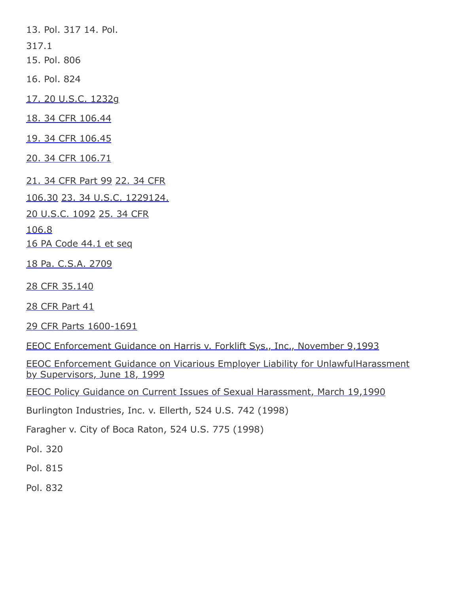13. Pol. 317 14. Pol. 317.1 15. Pol. 806 16. Pol. 824 [17. 20 U.S.C. 1232g](http://www.law.cornell.edu/uscode/text/20/1232g) [18. 34 CFR 106.44](https://www.govinfo.gov/content/pkg/FR-2020-05-19/pdf/2020-10512.pdf) [19. 34 CFR 106.45](https://www.govinfo.gov/content/pkg/FR-2020-05-19/pdf/2020-10512.pdf) [20. 34 CFR 106.71](https://www.govinfo.gov/content/pkg/FR-2020-05-19/pdf/2020-10512.pdf) [21. 34 CFR Part 99](http://www.law.cornell.edu/cfr/text/34/part-99) 22. 34 CFR 106.30 23. 34 U.S.C. [122912](https://www.law.cornell.edu/uscode/text/34/12291)4. [20 U.S.C. 1092](https://www.govinfo.gov/content/pkg/FR-2020-05-19/pdf/2020-10512.pdf) 25. 34 CFR 106.8 [16 PA Code 44.1 et seq](http://pacodeandbulletin.gov/Display/pacode?file=/secure/pacode/data/016/chapter44/chap44toc.html&d) [18 Pa. C.S.A. 2709](http://www.legis.state.pa.us/cfdocs/legis/LI/consCheck.cfm?txtType=HTM&ttl=18&div=0&chpt=27&sctn=9&subsctn=0)

[28 CFR 35.140](http://www.law.cornell.edu/cfr/text/28/35.140)

[28 CFR Part 41](http://www.law.cornell.edu/cfr/text/28/part-41)

[29 CFR Parts 1600-1691](http://www.law.cornell.edu/cfr/text/29/chapter-XIV)

[EEOC Enforcement Guidance on Harris v. Forklift Sys., Inc., November 9,1993](https://www.eeoc.gov/policy/docs/harris.html)

[EEOC Enforcement Guidance on Vicarious Employer Liability for UnlawfulHarassment](https://www.eeoc.gov/policy/docs/harassment.html) by Supervisors, June 18, 1999

[EEOC Policy Guidance on Current Issues of Sexual Harassment, March 19,1990](https://www.eeoc.gov/policy/docs/currentissues.html)

Burlington Industries, Inc. v. Ellerth, 524 U.S. 742 (1998)

Faragher v. City of Boca Raton, 524 U.S. 775 (1998)

Pol. 320

Pol. 815

Pol. 832